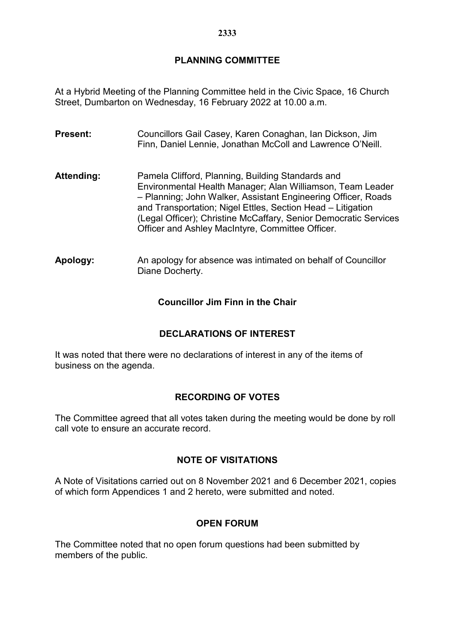# **PLANNING COMMITTEE**

At a Hybrid Meeting of the Planning Committee held in the Civic Space, 16 Church Street, Dumbarton on Wednesday, 16 February 2022 at 10.00 a.m.

- **Present:** Councillors Gail Casey, Karen Conaghan, Ian Dickson, Jim Finn, Daniel Lennie, Jonathan McColl and Lawrence O'Neill.
- Attending: Pamela Clifford, Planning, Building Standards and Environmental Health Manager; Alan Williamson, Team Leader – Planning; John Walker, Assistant Engineering Officer, Roads and Transportation; Nigel Ettles, Section Head – Litigation (Legal Officer); Christine McCaffary, Senior Democratic Services Officer and Ashley MacIntyre, Committee Officer.
- **Apology:** An apology for absence was intimated on behalf of Councillor Diane Docherty.

**Councillor Jim Finn in the Chair**

### **DECLARATIONS OF INTEREST**

It was noted that there were no declarations of interest in any of the items of business on the agenda.

### **RECORDING OF VOTES**

The Committee agreed that all votes taken during the meeting would be done by roll call vote to ensure an accurate record.

### **NOTE OF VISITATIONS**

A Note of Visitations carried out on 8 November 2021 and 6 December 2021, copies of which form Appendices 1 and 2 hereto, were submitted and noted.

#### **OPEN FORUM**

The Committee noted that no open forum questions had been submitted by members of the public.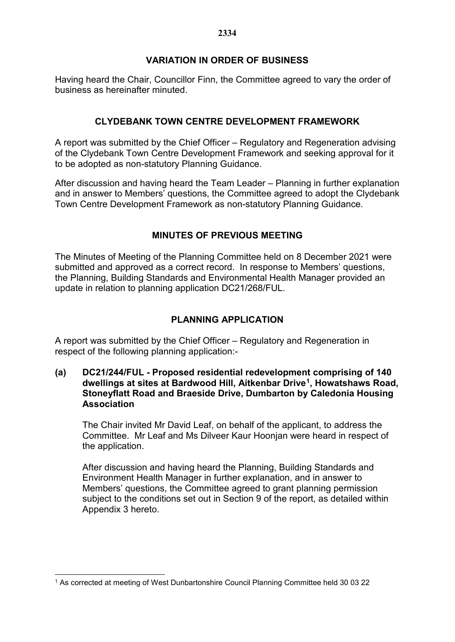## **VARIATION IN ORDER OF BUSINESS**

Having heard the Chair, Councillor Finn, the Committee agreed to vary the order of business as hereinafter minuted.

## **CLYDEBANK TOWN CENTRE DEVELOPMENT FRAMEWORK**

A report was submitted by the Chief Officer – Regulatory and Regeneration advising of the Clydebank Town Centre Development Framework and seeking approval for it to be adopted as non-statutory Planning Guidance.

After discussion and having heard the Team Leader – Planning in further explanation and in answer to Members' questions, the Committee agreed to adopt the Clydebank Town Centre Development Framework as non-statutory Planning Guidance.

## **MINUTES OF PREVIOUS MEETING**

The Minutes of Meeting of the Planning Committee held on 8 December 2021 were submitted and approved as a correct record. In response to Members' questions, the Planning, Building Standards and Environmental Health Manager provided an update in relation to planning application DC21/268/FUL.

# **PLANNING APPLICATION**

A report was submitted by the Chief Officer – Regulatory and Regeneration in respect of the following planning application:-

**(a) DC21/244/FUL - Proposed residential redevelopment comprising of 140 dwellings at sites at Bardwood Hill, Aitkenbar Drive[1,](#page-1-0) Howatshaws Road, Stoneyflatt Road and Braeside Drive, Dumbarton by Caledonia Housing Association**

The Chair invited Mr David Leaf, on behalf of the applicant, to address the Committee. Mr Leaf and Ms Dilveer Kaur Hoonjan were heard in respect of the application.

After discussion and having heard the Planning, Building Standards and Environment Health Manager in further explanation, and in answer to Members' questions, the Committee agreed to grant planning permission subject to the conditions set out in Section 9 of the report, as detailed within Appendix 3 hereto.

<span id="page-1-0"></span><sup>1</sup> <sup>1</sup> As corrected at meeting of West Dunbartonshire Council Planning Committee held 30 03 22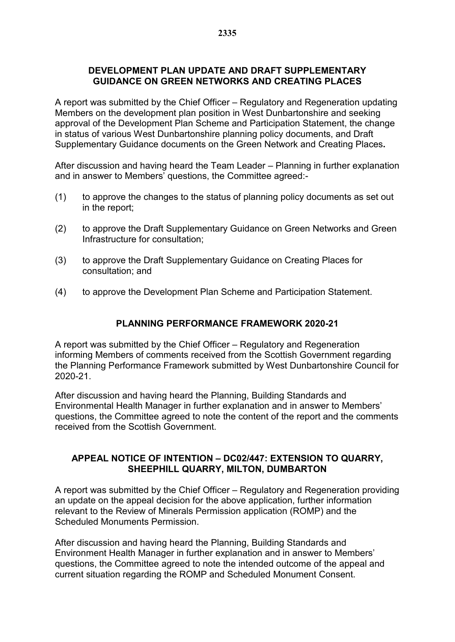### **DEVELOPMENT PLAN UPDATE AND DRAFT SUPPLEMENTARY GUIDANCE ON GREEN NETWORKS AND CREATING PLACES**

A report was submitted by the Chief Officer – Regulatory and Regeneration updating Members on the development plan position in West Dunbartonshire and seeking approval of the Development Plan Scheme and Participation Statement, the change in status of various West Dunbartonshire planning policy documents, and Draft Supplementary Guidance documents on the Green Network and Creating Places**.**

After discussion and having heard the Team Leader – Planning in further explanation and in answer to Members' questions, the Committee agreed:-

- (1) to approve the changes to the status of planning policy documents as set out in the report;
- (2) to approve the Draft Supplementary Guidance on Green Networks and Green Infrastructure for consultation;
- (3) to approve the Draft Supplementary Guidance on Creating Places for consultation; and
- (4) to approve the Development Plan Scheme and Participation Statement.

### **PLANNING PERFORMANCE FRAMEWORK 2020-21**

A report was submitted by the Chief Officer – Regulatory and Regeneration informing Members of comments received from the Scottish Government regarding the Planning Performance Framework submitted by West Dunbartonshire Council for 2020-21.

After discussion and having heard the Planning, Building Standards and Environmental Health Manager in further explanation and in answer to Members' questions, the Committee agreed to note the content of the report and the comments received from the Scottish Government.

## **APPEAL NOTICE OF INTENTION – DC02/447: EXTENSION TO QUARRY, SHEEPHILL QUARRY, MILTON, DUMBARTON**

A report was submitted by the Chief Officer – Regulatory and Regeneration providing an update on the appeal decision for the above application, further information relevant to the Review of Minerals Permission application (ROMP) and the Scheduled Monuments Permission.

After discussion and having heard the Planning, Building Standards and Environment Health Manager in further explanation and in answer to Members' questions, the Committee agreed to note the intended outcome of the appeal and current situation regarding the ROMP and Scheduled Monument Consent.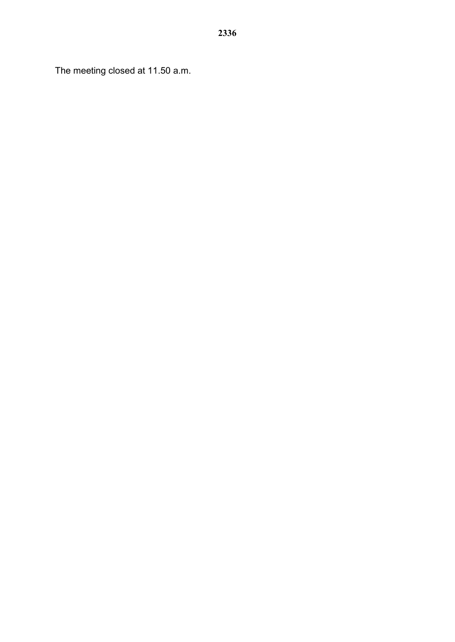The meeting closed at 11.50 a.m.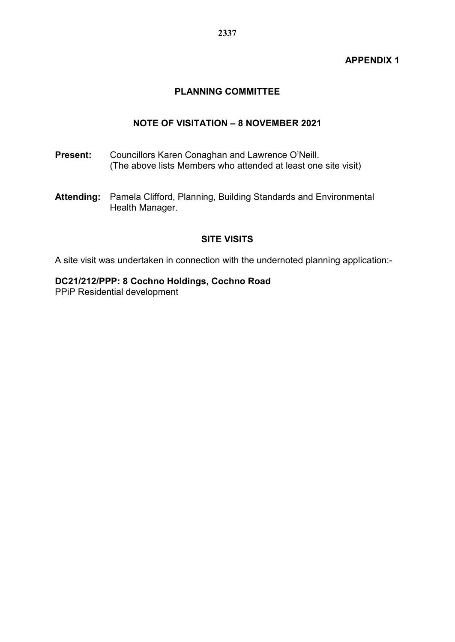### **APPENDIX 1**

# **PLANNING COMMITTEE**

### **NOTE OF VISITATION – 8 NOVEMBER 2021**

- **Present:** Councillors Karen Conaghan and Lawrence O'Neill. (The above lists Members who attended at least one site visit)
- **Attending:** Pamela Clifford, Planning, Building Standards and Environmental Health Manager.

## **SITE VISITS**

A site visit was undertaken in connection with the undernoted planning application:-

### **DC21/212/PPP: 8 Cochno Holdings, Cochno Road**

PPiP Residential development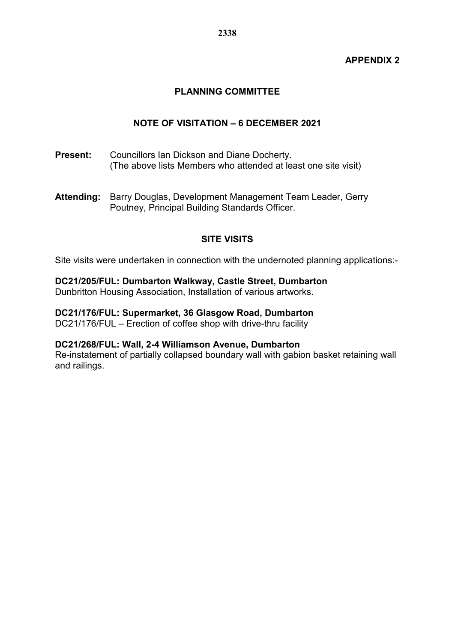### **APPENDIX 2**

## **PLANNING COMMITTEE**

### **NOTE OF VISITATION – 6 DECEMBER 2021**

- **Present:** Councillors Ian Dickson and Diane Docherty. (The above lists Members who attended at least one site visit)
- **Attending:** Barry Douglas, Development Management Team Leader, Gerry Poutney, Principal Building Standards Officer.

### **SITE VISITS**

Site visits were undertaken in connection with the undernoted planning applications:-

**DC21/205/FUL: Dumbarton Walkway, Castle Street, Dumbarton**  Dunbritton Housing Association, Installation of various artworks.

**DC21/176/FUL: Supermarket, 36 Glasgow Road, Dumbarton**  DC21/176/FUL – Erection of coffee shop with drive-thru facility

#### **DC21/268/FUL: Wall, 2-4 Williamson Avenue, Dumbarton**

Re-instatement of partially collapsed boundary wall with gabion basket retaining wall and railings.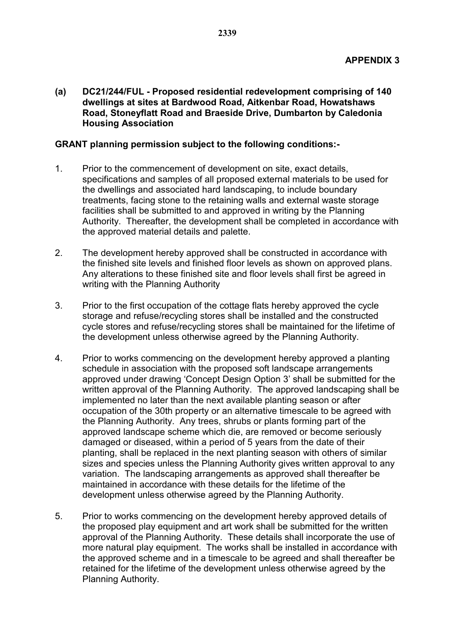**(a) DC21/244/FUL - Proposed residential redevelopment comprising of 140 dwellings at sites at Bardwood Road, Aitkenbar Road, Howatshaws Road, Stoneyflatt Road and Braeside Drive, Dumbarton by Caledonia Housing Association**

#### **GRANT planning permission subject to the following conditions:-**

- 1. Prior to the commencement of development on site, exact details, specifications and samples of all proposed external materials to be used for the dwellings and associated hard landscaping, to include boundary treatments, facing stone to the retaining walls and external waste storage facilities shall be submitted to and approved in writing by the Planning Authority. Thereafter, the development shall be completed in accordance with the approved material details and palette.
- 2. The development hereby approved shall be constructed in accordance with the finished site levels and finished floor levels as shown on approved plans. Any alterations to these finished site and floor levels shall first be agreed in writing with the Planning Authority
- 3. Prior to the first occupation of the cottage flats hereby approved the cycle storage and refuse/recycling stores shall be installed and the constructed cycle stores and refuse/recycling stores shall be maintained for the lifetime of the development unless otherwise agreed by the Planning Authority.
- 4. Prior to works commencing on the development hereby approved a planting schedule in association with the proposed soft landscape arrangements approved under drawing 'Concept Design Option 3' shall be submitted for the written approval of the Planning Authority. The approved landscaping shall be implemented no later than the next available planting season or after occupation of the 30th property or an alternative timescale to be agreed with the Planning Authority. Any trees, shrubs or plants forming part of the approved landscape scheme which die, are removed or become seriously damaged or diseased, within a period of 5 years from the date of their planting, shall be replaced in the next planting season with others of similar sizes and species unless the Planning Authority gives written approval to any variation. The landscaping arrangements as approved shall thereafter be maintained in accordance with these details for the lifetime of the development unless otherwise agreed by the Planning Authority.
- 5. Prior to works commencing on the development hereby approved details of the proposed play equipment and art work shall be submitted for the written approval of the Planning Authority. These details shall incorporate the use of more natural play equipment. The works shall be installed in accordance with the approved scheme and in a timescale to be agreed and shall thereafter be retained for the lifetime of the development unless otherwise agreed by the Planning Authority.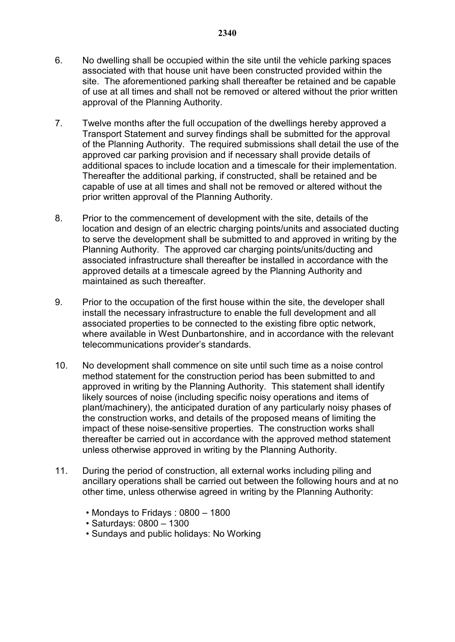- 6. No dwelling shall be occupied within the site until the vehicle parking spaces associated with that house unit have been constructed provided within the site. The aforementioned parking shall thereafter be retained and be capable of use at all times and shall not be removed or altered without the prior written approval of the Planning Authority.
- 7. Twelve months after the full occupation of the dwellings hereby approved a Transport Statement and survey findings shall be submitted for the approval of the Planning Authority. The required submissions shall detail the use of the approved car parking provision and if necessary shall provide details of additional spaces to include location and a timescale for their implementation. Thereafter the additional parking, if constructed, shall be retained and be capable of use at all times and shall not be removed or altered without the prior written approval of the Planning Authority.
- 8. Prior to the commencement of development with the site, details of the location and design of an electric charging points/units and associated ducting to serve the development shall be submitted to and approved in writing by the Planning Authority. The approved car charging points/units/ducting and associated infrastructure shall thereafter be installed in accordance with the approved details at a timescale agreed by the Planning Authority and maintained as such thereafter.
- 9. Prior to the occupation of the first house within the site, the developer shall install the necessary infrastructure to enable the full development and all associated properties to be connected to the existing fibre optic network, where available in West Dunbartonshire, and in accordance with the relevant telecommunications provider's standards.
- 10. No development shall commence on site until such time as a noise control method statement for the construction period has been submitted to and approved in writing by the Planning Authority. This statement shall identify likely sources of noise (including specific noisy operations and items of plant/machinery), the anticipated duration of any particularly noisy phases of the construction works, and details of the proposed means of limiting the impact of these noise-sensitive properties. The construction works shall thereafter be carried out in accordance with the approved method statement unless otherwise approved in writing by the Planning Authority.
- 11. During the period of construction, all external works including piling and ancillary operations shall be carried out between the following hours and at no other time, unless otherwise agreed in writing by the Planning Authority:
	- Mondays to Fridays : 0800 1800
	- Saturdays: 0800 1300
	- Sundays and public holidays: No Working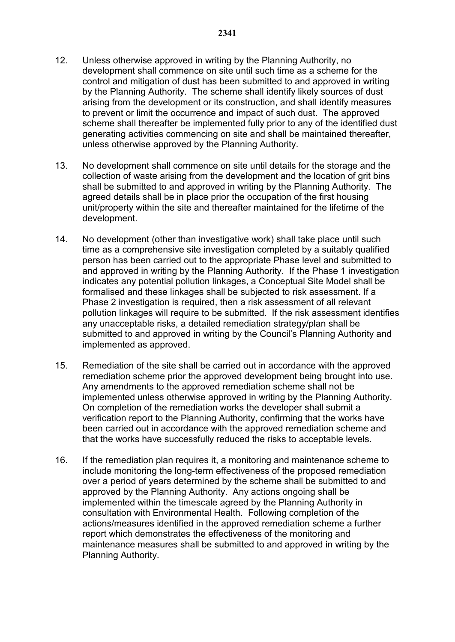- 12. Unless otherwise approved in writing by the Planning Authority, no development shall commence on site until such time as a scheme for the control and mitigation of dust has been submitted to and approved in writing by the Planning Authority. The scheme shall identify likely sources of dust arising from the development or its construction, and shall identify measures to prevent or limit the occurrence and impact of such dust. The approved scheme shall thereafter be implemented fully prior to any of the identified dust generating activities commencing on site and shall be maintained thereafter, unless otherwise approved by the Planning Authority.
- 13. No development shall commence on site until details for the storage and the collection of waste arising from the development and the location of grit bins shall be submitted to and approved in writing by the Planning Authority. The agreed details shall be in place prior the occupation of the first housing unit/property within the site and thereafter maintained for the lifetime of the development.
- 14. No development (other than investigative work) shall take place until such time as a comprehensive site investigation completed by a suitably qualified person has been carried out to the appropriate Phase level and submitted to and approved in writing by the Planning Authority. If the Phase 1 investigation indicates any potential pollution linkages, a Conceptual Site Model shall be formalised and these linkages shall be subjected to risk assessment. If a Phase 2 investigation is required, then a risk assessment of all relevant pollution linkages will require to be submitted. If the risk assessment identifies any unacceptable risks, a detailed remediation strategy/plan shall be submitted to and approved in writing by the Council's Planning Authority and implemented as approved.
- 15. Remediation of the site shall be carried out in accordance with the approved remediation scheme prior the approved development being brought into use. Any amendments to the approved remediation scheme shall not be implemented unless otherwise approved in writing by the Planning Authority. On completion of the remediation works the developer shall submit a verification report to the Planning Authority, confirming that the works have been carried out in accordance with the approved remediation scheme and that the works have successfully reduced the risks to acceptable levels.
- 16. If the remediation plan requires it, a monitoring and maintenance scheme to include monitoring the long-term effectiveness of the proposed remediation over a period of years determined by the scheme shall be submitted to and approved by the Planning Authority. Any actions ongoing shall be implemented within the timescale agreed by the Planning Authority in consultation with Environmental Health. Following completion of the actions/measures identified in the approved remediation scheme a further report which demonstrates the effectiveness of the monitoring and maintenance measures shall be submitted to and approved in writing by the Planning Authority.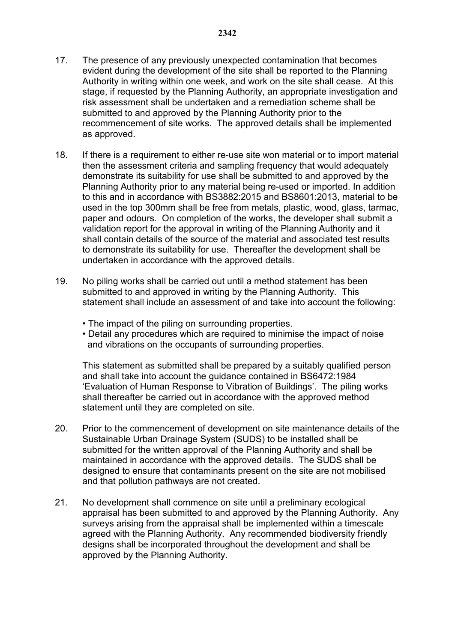- 17. The presence of any previously unexpected contamination that becomes evident during the development of the site shall be reported to the Planning Authority in writing within one week, and work on the site shall cease. At this stage, if requested by the Planning Authority, an appropriate investigation and risk assessment shall be undertaken and a remediation scheme shall be submitted to and approved by the Planning Authority prior to the recommencement of site works. The approved details shall be implemented as approved.
- 18. If there is a requirement to either re-use site won material or to import material then the assessment criteria and sampling frequency that would adequately demonstrate its suitability for use shall be submitted to and approved by the Planning Authority prior to any material being re-used or imported. In addition to this and in accordance with BS3882:2015 and BS8601:2013, material to be used in the top 300mm shall be free from metals, plastic, wood, glass, tarmac, paper and odours. On completion of the works, the developer shall submit a validation report for the approval in writing of the Planning Authority and it shall contain details of the source of the material and associated test results to demonstrate its suitability for use. Thereafter the development shall be undertaken in accordance with the approved details.
- 19. No piling works shall be carried out until a method statement has been submitted to and approved in writing by the Planning Authority. This statement shall include an assessment of and take into account the following:
	- The impact of the piling on surrounding properties.
	- Detail any procedures which are required to minimise the impact of noise and vibrations on the occupants of surrounding properties.

This statement as submitted shall be prepared by a suitably qualified person and shall take into account the guidance contained in BS6472:1984 'Evaluation of Human Response to Vibration of Buildings'. The piling works shall thereafter be carried out in accordance with the approved method statement until they are completed on site.

- 20. Prior to the commencement of development on site maintenance details of the Sustainable Urban Drainage System (SUDS) to be installed shall be submitted for the written approval of the Planning Authority and shall be maintained in accordance with the approved details. The SUDS shall be designed to ensure that contaminants present on the site are not mobilised and that pollution pathways are not created.
- 21. No development shall commence on site until a preliminary ecological appraisal has been submitted to and approved by the Planning Authority. Any surveys arising from the appraisal shall be implemented within a timescale agreed with the Planning Authority. Any recommended biodiversity friendly designs shall be incorporated throughout the development and shall be approved by the Planning Authority.